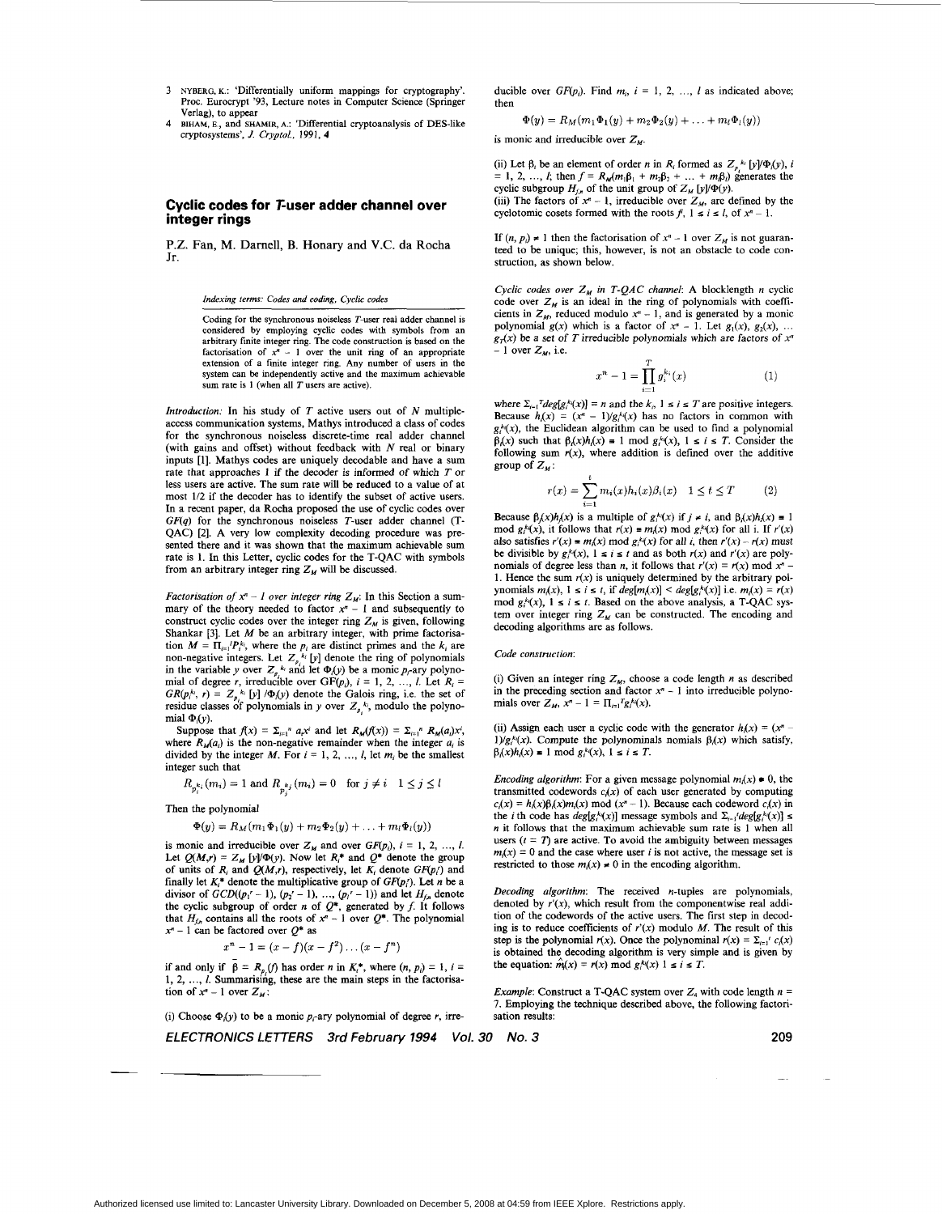- **3 NYBERG, K.:** 'Differentially uniform mappings for cryptography'. **Proc.** Eurocrypt '93, Lecture notes in Computer Science (Springer Verlag), to appear
- **BIHAM, E.,** and **SHAMIR, A.:** 'Differential cryptoanalysis of DES-like cryptosystems', *J. Crypro/.,* 1991, **4 4**

## **Cyclic codes for T-user adder channel over integer rings**

P.Z. Fan, M. Darnell, **B.** Honary and V.C. da Rocha Jr.

*Indexing terms: Codes and coding, Cyclic codes* 

Coding for the synchronous noiseless T-user real adder channel is considered by employing cyclic codes with symbols from an arbitrary finite integer **ring.** The code construction is based **on** the factorisation of  $x^n - 1$  over the unit ring of an appropriate extension of a finite integer **ring.** Any number of users in the system can **be** independently active and the maximum achievable sum rate is 1 (when all T users are active).

*Introduction:* In his study of *T* active users out of *N* multipleaccess communication systems, Mathys introduced a class of codes for the synchronous noiseless discrete-time real adder channel (with gains and offset) without feedback with *N* real or binary inputs *[I].* Mathys codes are uniquely decodable and have a sum rate that approaches 1 if the decoder is informed of which *T* or less users are active. The sum rate will be reduced to a value of at most 1/2 if the decoder has to identify the subset of active users. **In** a recent paper, da Rocha proposed the use of cyclic codes over *GF(q)* for the synchronous noiseless T-user adder channel (T-QAC) *[2].* A very low complexity decoding procedure was presented there and it was shown that the maximum achievable sum rate is **1.** In this Letter, cyclic codes for the T-QAC with symbols from an arbitrary integer ring  $Z_M$  will be discussed.

*Factorisation of*  $x^n - 1$  *over integer ring*  $Z_M$ : In this Section a summary of the theory needed to factor  $x<sup>n</sup> - 1$  and subsequently to construct cyclic codes over the integer ring  $Z_M$  is given, following Shankar *[3].* Let *M* be an arbitrary integer, with prime factorisation  $M = \prod_{i=1}^{r} P_i^{k_i}$ , where the  $p_i$  are distinct primes and the  $k_i$  are non-negative integers. Let  $Z_{p_i}^{k_i}$  [y] denote the ring of polynomials in the variable y over  $Z_p$ <sup>k</sup> and let  $\Phi(y)$  be a monic  $p_r$ -ary polynomial of degree r, irreducible over  $GF(p_i)$ ,  $i = 1, 2, ..., l$ . Let  $R_i = GR(p_i^k, r) = Z_p^k$  [y]  $\Phi(y)$  denote the Galois ring, i.e. the set of residue classes of polynomials in *y* over  $Z_{p_i}^{k_i}$ , modulo the polynomial  $\Phi(y)$ .

Suppose that  $f(x) = \sum_{i=1}^n a_i x^i$  and let  $R_M(f(x)) = \sum_{i=1}^n R_M(a_i) x^i$ , where  $R_M(a_i)$  is the non-negative remainder when the integer  $a_i$  is divided by the integer  $M$ . For  $i = 1, 2, ..., l$ , let  $m_i$  be the smallest integer such that

$$
R_{p_i^{k_i}}(m_i) = 1 \text{ and } R_{p_j^{k_j}}(m_i) = 0 \quad \text{for } j \neq i \quad 1 \leq j \leq l
$$

Then the polynomial

-.

$$
\Phi(y)=R_M(m_1\Phi_1(y)+m_2\Phi_2(y)+\ldots+m_l\Phi_l(y))
$$

is monic and irreducible over  $Z_M$  and over  $GF(p_i)$ ,  $i = 1, 2, ..., l$ . Let  $Q(M,r) = Z_M$  [y]/ $\Phi(y)$ . Now let  $R_i^*$  and  $Q^*$  denote the group of units of  $R_i$  and  $Q(M,r)$ , respectively, let  $K_i$  denote  $GF(p_i)$  and finally let  $K_i^*$  denote the multiplicative group of  $GF(p_i)$ . Let *n* be a Imany iet  $\mathbf{A}_i$ <sup>2</sup> denote the multiplicative group of  $\mathbf{or}(\mathbf{p}_i)$ , Let *n* be a<br>divisor of  $\mathbf{G}\mathbf{D}(\mathbf{p}_i)$ <sup>-</sup>  $\mathbf{C}$  = 1), ...,  $(\mathbf{p}_i)' - 1$ )) and let  $H_{f,n}$  denote<br>the cyclic subgroup of order *n* of that  $H_{f,n}$  contains all the roots of  $x^n - 1$  over  $Q^*$ . The polynomial  $x^n - 1$  can be factored over  $Q^*$  as  $x^n - 1$ 

$$
x^{n} - 1 = (x - f)(x - f^{2}) \dots (x - f^{n})
$$

if and only if  $\beta = R_n(f)$  has order *n* in  $K_i^*$ , where  $(n, p_i) = 1$ ,  $i =$ 1, *2,* ..., *I.* Summaris:ng, these are the main steps in the factorisation of  $x^n - 1$  over  $Z_M$ :

(i) Choose  $\Phi_i(y)$  to be a monic  $p_i$ -ary polynomial of degree *r*, irre-

*ELECTRONICS LETTERS 3rd February 1994 Vol. 30 No. 3* 

ducible over  $GF(p_i)$ . Find  $m_i$ ,  $i = 1, 2, ..., l$  as indicated above; then

 $\Phi(y) = R_M(m_1\Phi_1(y) + m_2\Phi_2(y) + \ldots + m_l\Phi_l(y))$ 

is monic and irreducible over  $Z_{\mu}$ .

(ii) Let  $\beta_i$  be an element of order *n* in *R<sub>i</sub>* formed as  $Z_n^{k_i} [\gamma] \Phi_i(\gamma)$ , *i* = 1, 2, ..., *l*; then  $f = R_M(m_1\beta_1 + m_2\beta_2 + ... + m_j\beta_j)$  generates the cyclic subgroup  $H_{f,n}$  of the unit group of  $Z_M$  [y]/ $\Phi(y)$ . (iii) The factors of  $x^n - 1$ , irreducible over  $Z_M$ , are defined by the cyclotomic cosets formed with the roots  $f$ ,  $1 \le i \le l$ , of  $x^n - 1$ .

If  $(n, p_i) \neq 1$  then the factorisation of  $x^n - 1$  over  $Z_M$  is not guaranteed to be unique; this, however, is not an obstacle to code construction, as shown below.

*Cyclic codes over Z, in T-QAC channel* **A** blocklength *n* cyclic code over  $Z_M$  is an ideal in the ring of polynomials with coefficients in  $Z_M$ , reduced modulo  $x^n - 1$ , and is generated by a monic polynomial  $g(x)$  which is a factor of  $x^* - 1$ . Let  $g_1(x)$ ,  $g_2(x)$ , ...  $g<sub>T</sub>(x)$  be a set of *T* irreducible polynomials which are factors of  $x<sup>n</sup>$  $-1$  over  $Z_M$ , i.e.

$$
x^{n} - 1 = \prod_{i=1}^{T} g_{i}^{k_{i}}(x)
$$
 (1)

where  $\Sigma_{i=1}^{T} \text{deg}[g_i^{k}(x)] = n$  and the  $k_i$ ,  $1 \le i \le T$  are positive integers. Because  $h(x) = (x^n - 1)/g(x)$  has no factors in common with  $g_i^k(x)$ , the Euclidean algorithm can be used to find a polynomial  $\beta_i(x)$  such that  $\beta_i(x)h_i(x) = 1 \mod g_i^{k_i}(x)$ ,  $1 \le i \le T$ . Consider the following sum  $r(x)$ , where addition is defined over the additive group of  $Z_M$ :

$$
r(x) = \sum_{i=1}^{t} m_i(x)h_i(x)\beta_i(x) \quad 1 \le t \le T \tag{2}
$$

Because  $\beta(x)h(x)$  is a multiple of  $g_i^k(x)$  if  $j \neq i$ , and  $\beta_i(x)h(x) = 1$ mod  $g_i^k(x)$ , it follows that  $r(x) = m_i(x) \mod g_i^k(x)$  for all i. If  $r'(x)$ also satisfies  $r'(x) = m(x) \mod g_i^k(x)$  for all *i*, then  $r'(x) - r(x)$  must be divisible by  $g_i^k(x)$ ,  $1 \le i \le t$  and as both  $r(x)$  and  $r'(x)$  are polynomials of degree less than *n*, it follows that  $r'(x) = r(x) \text{ mod } x^n$  -1. Hence the sum  $r(x)$  is uniquely determined by the arbitrary polynomials  $m(x)$ ,  $1 \le i \le t$ , if  $deg[m(x)] \le deg[g_i^k(x)]$  i.e.  $m_i(x) = r(x)$ mod  $g^k(x)$ ,  $1 \le i \le t$ . Based on the above analysis, a T-QAC system over integer ring  $Z_M$  can be constructed. The encoding and decoding algorithms are as follows.

## *Code construction:*

(i) Given an integer ring  $Z_M$ , choose a code length  $n$  as described in the preceding section and factor  $x<sup>n</sup> - 1$  into irreducible polynomials over  $Z_M$ ,  $x^n - 1 = \prod_{i=1}^{r} g_i^k(x)$ .

(ii) Assign each user a cyclic code with the generator  $h(x) = (x^n 1/g_i^k(x)$ . Compute the polynominals nomials  $\beta_i(x)$  which satisfy,  $\beta_i(x)h_i(x) = 1 \text{ mod } g_i^k(x), 1 \le i \le T.$ 

*Encoding algorithm:* For a given message polynomial  $m(x) \bullet 0$ , the transmitted codewords  $c_i(x)$  of each user generated by computing  $c(x) = h(x)\beta(x)m(x)$  mod  $(x<sup>n</sup> - 1)$ . Because each codeword  $c(x)$  in the *i* th code has  $deg[g_i^{k_i}(x)]$  message symbols and  $\Sigma_{i=1}/deg[g_i^{k_i}(x)] \leq$ *n* it follows that the maximum achievable sum rate is **1** when all users  $(t = T)$  are active. To avoid the ambiguity between messages  $m(x) = 0$  and the case where user *i* is not active, the message set is restricted to those  $m(x) \neq 0$  in the encoding algorithm.

*Decoding algorithm:* The received n-tuples are polynomials, denoted by  $r'(x)$ , which result from the componentwise real addition of the codewords of the active users. The first step in decoding is to reduce coefficients of  $r'(x)$  modulo *M*. The result of this step is the polynomial  $r(x)$ . Once the polynominal  $r(x) = \sum_{i=1}^{n} c_i(x)$ is obtained the decoding algorithm is very simple and is given by the equation:  $\hat{m}(x) = r(x) \text{ mod } g_i^k(x) 1 \le i \le T$ .

*Example:* Construct a T-QAC system over  $Z_4$  with code length  $n =$ **7.** Employing the technique described above, the following factorisation results:

**209** 

-~